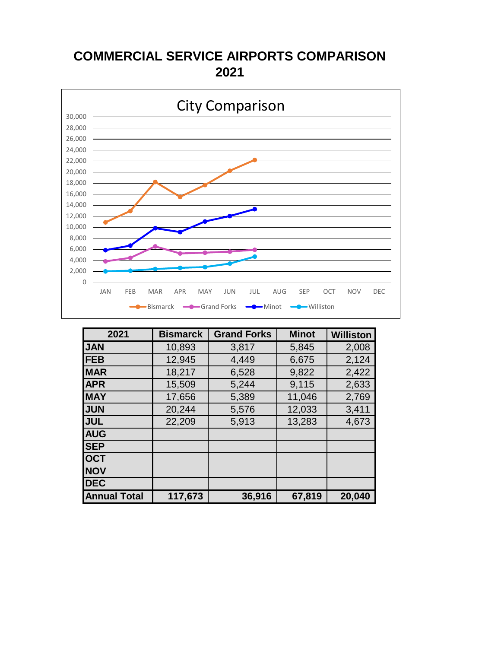### **COMMERCIAL SERVICE AIRPORTS COMPARISON 2021**



| 2021                | <b>Bismarck</b> | <b>Grand Forks</b> | <b>Minot</b> | <b>Williston</b> |
|---------------------|-----------------|--------------------|--------------|------------------|
| <b>JAN</b>          | 10,893          | 3,817              | 5,845        | 2,008            |
| <b>FEB</b>          | 12,945          | 4,449              | 6,675        | 2,124            |
| <b>MAR</b>          | 18,217          | 6,528              | 9,822        | 2,422            |
| <b>APR</b>          | 15,509          | 5,244              | 9,115        | 2,633            |
| <b>MAY</b>          | 17,656          | 5,389              | 11,046       | 2,769            |
| <b>JUN</b>          | 20,244          | 5,576              | 12,033       | 3,411            |
| <b>JUL</b>          | 22,209          | 5,913              | 13,283       | 4,673            |
| <b>AUG</b>          |                 |                    |              |                  |
| <b>SEP</b>          |                 |                    |              |                  |
| <b>OCT</b>          |                 |                    |              |                  |
| <b>NOV</b>          |                 |                    |              |                  |
| <b>DEC</b>          |                 |                    |              |                  |
| <b>Annual Total</b> | 117,673         | 36,916             | 67,819       | 20,040           |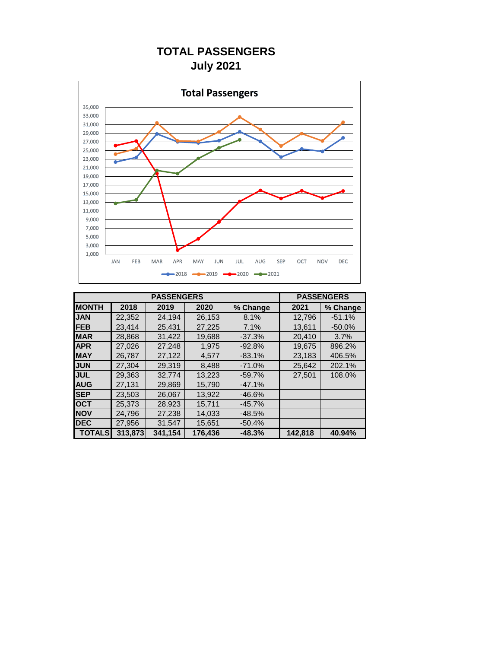### **TOTAL PASSENGERS July 2021**



|               |         | <b>PASSENGERS</b> |         |          |         |          |
|---------------|---------|-------------------|---------|----------|---------|----------|
| <b>MONTH</b>  | 2018    | 2019              | 2020    | % Change | 2021    | % Change |
| <b>JAN</b>    | 22,352  | 24,194            | 26,153  | 8.1%     | 12,796  | $-51.1%$ |
| <b>FEB</b>    | 23.414  | 25.431            | 27,225  | 7.1%     | 13,611  | $-50.0%$ |
| <b>MAR</b>    | 28.868  | 31.422            | 19,688  | $-37.3%$ | 20.410  | 3.7%     |
| <b>APR</b>    | 27.026  | 27,248            | 1,975   | $-92.8%$ | 19,675  | 896.2%   |
| <b>MAY</b>    | 26.787  | 27,122            | 4,577   | $-83.1%$ | 23,183  | 406.5%   |
| <b>JUN</b>    | 27.304  | 29.319            | 8,488   | $-71.0%$ | 25,642  | 202.1%   |
| <b>JUL</b>    | 29.363  | 32,774            | 13,223  | $-59.7%$ | 27.501  | 108.0%   |
| <b>AUG</b>    | 27.131  | 29.869            | 15.790  | $-47.1%$ |         |          |
| <b>SEP</b>    | 23.503  | 26,067            | 13,922  | $-46.6%$ |         |          |
| <b>OCT</b>    | 25.373  | 28,923            | 15,711  | $-45.7%$ |         |          |
| <b>NOV</b>    | 24.796  | 27.238            | 14.033  | $-48.5%$ |         |          |
| <b>DEC</b>    | 27,956  | 31,547            | 15,651  | $-50.4%$ |         |          |
| <b>TOTALS</b> | 313,873 | 341,154           | 176,436 | $-48.3%$ | 142,818 | 40.94%   |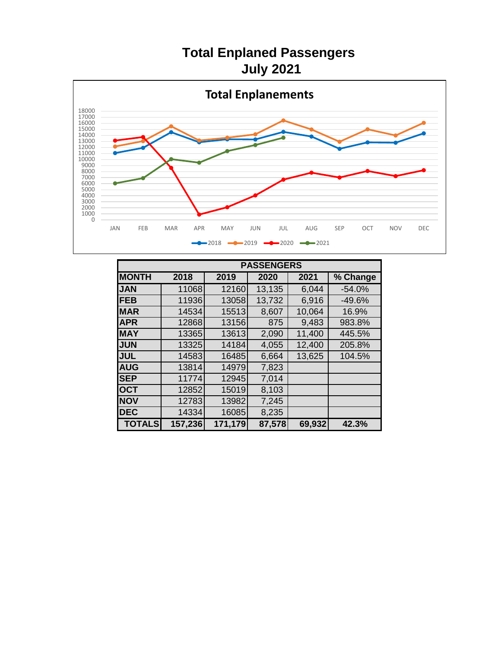## **Total Enplaned Passengers July 2021**



|               | <b>PASSENGERS</b> |         |        |        |          |  |  |  |
|---------------|-------------------|---------|--------|--------|----------|--|--|--|
| <b>MONTH</b>  | 2018              | 2019    | 2020   | 2021   | % Change |  |  |  |
| <b>JAN</b>    | 11068             | 12160   | 13,135 | 6,044  | $-54.0%$ |  |  |  |
| <b>IFEB</b>   | 11936             | 13058   | 13,732 | 6,916  | $-49.6%$ |  |  |  |
| <b>MAR</b>    | 14534             | 15513   | 8,607  | 10,064 | 16.9%    |  |  |  |
| <b>APR</b>    | 12868             | 13156   | 875    | 9,483  | 983.8%   |  |  |  |
| <b>MAY</b>    | 13365             | 13613   | 2,090  | 11,400 | 445.5%   |  |  |  |
| <b>JUN</b>    | 13325             | 14184   | 4,055  | 12,400 | 205.8%   |  |  |  |
| <b>JUL</b>    | 14583             | 16485   | 6,664  | 13,625 | 104.5%   |  |  |  |
| <b>AUG</b>    | 13814             | 14979   | 7,823  |        |          |  |  |  |
| <b>SEP</b>    | 11774             | 12945   | 7,014  |        |          |  |  |  |
| <b>OCT</b>    | 12852             | 15019   | 8,103  |        |          |  |  |  |
| <b>NOV</b>    | 12783             | 13982   | 7,245  |        |          |  |  |  |
| <b>IDEC</b>   | 14334             | 16085   | 8,235  |        |          |  |  |  |
| <b>TOTALS</b> | 157,236           | 171,179 | 87,578 | 69,932 | 42.3%    |  |  |  |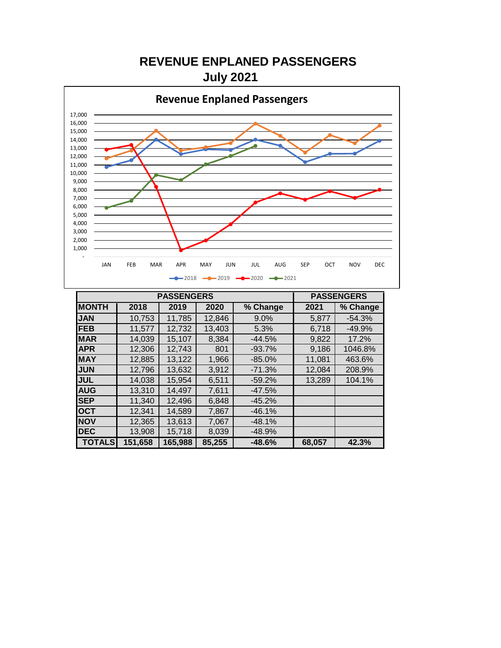**REVENUE ENPLANED PASSENGERS July 2021**



|               | <b>PASSENGERS</b> |         | <b>PASSENGERS</b> |          |        |          |
|---------------|-------------------|---------|-------------------|----------|--------|----------|
| <b>MONTH</b>  | 2018              | 2019    | 2020              | % Change | 2021   | % Change |
| <b>JAN</b>    | 10,753            | 11,785  | 12,846            | 9.0%     | 5,877  | $-54.3%$ |
| <b>FEB</b>    | 11,577            | 12,732  | 13,403            | 5.3%     | 6,718  | $-49.9%$ |
| <b>MAR</b>    | 14,039            | 15,107  | 8,384             | $-44.5%$ | 9,822  | 17.2%    |
| <b>APR</b>    | 12,306            | 12,743  | 801               | $-93.7%$ | 9,186  | 1046.8%  |
| <b>MAY</b>    | 12,885            | 13,122  | 1,966             | $-85.0%$ | 11,081 | 463.6%   |
| <b>JUN</b>    | 12,796            | 13,632  | 3,912             | $-71.3%$ | 12,084 | 208.9%   |
| <b>JUL</b>    | 14,038            | 15,954  | 6,511             | $-59.2%$ | 13,289 | 104.1%   |
| <b>AUG</b>    | 13,310            | 14,497  | 7,611             | $-47.5%$ |        |          |
| <b>SEP</b>    | 11,340            | 12,496  | 6,848             | $-45.2%$ |        |          |
| <b>OCT</b>    | 12,341            | 14,589  | 7,867             | $-46.1%$ |        |          |
| <b>NOV</b>    | 12,365            | 13,613  | 7,067             | $-48.1%$ |        |          |
| <b>DEC</b>    | 13,908            | 15,718  | 8,039             | $-48.9%$ |        |          |
| <b>TOTALS</b> | 151,658           | 165,988 | 85,255            | $-48.6%$ | 68,057 | 42.3%    |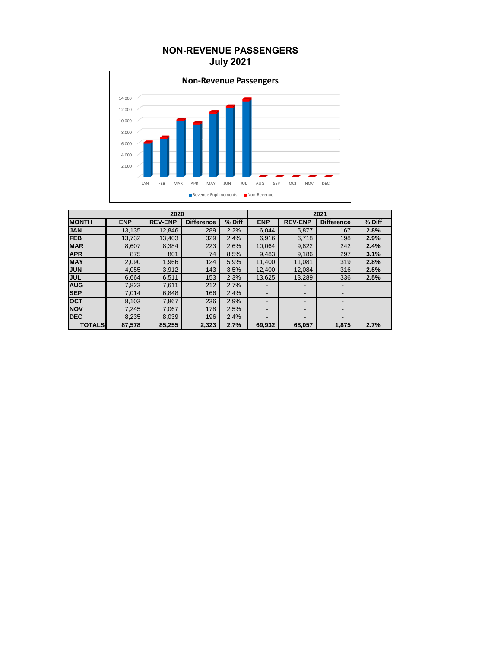### **NON-REVENUE PASSENGERS July 2021**



| 2020          |            |                |                   |        | 2021       |                          |                          |        |
|---------------|------------|----------------|-------------------|--------|------------|--------------------------|--------------------------|--------|
| <b>MONTH</b>  | <b>ENP</b> | <b>REV-ENP</b> | <b>Difference</b> | % Diff | <b>ENP</b> | <b>REV-ENP</b>           | <b>Difference</b>        | % Diff |
| <b>JAN</b>    | 13,135     | 12,846         | 289               | 2.2%   | 6,044      | 5,877                    | 167                      | 2.8%   |
| <b>FEB</b>    | 13,732     | 13.403         | 329               | 2.4%   | 6.916      | 6.718                    | 198                      | 2.9%   |
| <b>MAR</b>    | 8,607      | 8,384          | 223               | 2.6%   | 10,064     | 9,822                    | 242                      | 2.4%   |
| <b>APR</b>    | 875        | 801            | 74                | 8.5%   | 9,483      | 9,186                    | 297                      | 3.1%   |
| <b>MAY</b>    | 2,090      | 1,966          | 124               | 5.9%   | 11.400     | 11,081                   | 319                      | 2.8%   |
| <b>JUN</b>    | 4,055      | 3,912          | 143               | 3.5%   | 12,400     | 12,084                   | 316                      | 2.5%   |
| <b>JUL</b>    | 6.664      | 6,511          | 153               | 2.3%   | 13.625     | 13.289                   | 336                      | 2.5%   |
| <b>AUG</b>    | 7,823      | 7,611          | 212               | 2.7%   |            | $\overline{\phantom{a}}$ | $\overline{\phantom{0}}$ |        |
| <b>SEP</b>    | 7.014      | 6,848          | 166               | 2.4%   |            | $\overline{\phantom{a}}$ | $\overline{\phantom{0}}$ |        |
| <b>OCT</b>    | 8,103      | 7.867          | 236               | 2.9%   |            | -                        | $\overline{\phantom{0}}$ |        |
| <b>NOV</b>    | 7,245      | 7,067          | 178               | 2.5%   |            | -                        |                          |        |
| <b>DEC</b>    | 8,235      | 8,039          | 196               | 2.4%   |            | -                        |                          |        |
| <b>TOTALS</b> | 87,578     | 85,255         | 2,323             | 2.7%   | 69,932     | 68,057                   | 1,875                    | 2.7%   |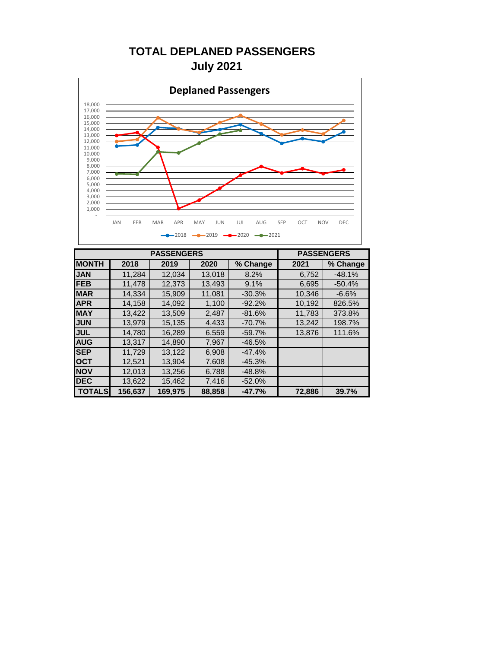### **TOTAL DEPLANED PASSENGERS July 2021**



|               |         |         | <b>PASSENGERS</b> |          |        |          |
|---------------|---------|---------|-------------------|----------|--------|----------|
| <b>MONTH</b>  | 2018    | 2019    | 2020              | % Change | 2021   | % Change |
| <b>JAN</b>    | 11.284  | 12.034  | 13,018            | 8.2%     | 6,752  | $-48.1%$ |
| <b>FEB</b>    | 11,478  | 12,373  | 13,493            | 9.1%     | 6,695  | $-50.4%$ |
| <b>MAR</b>    | 14,334  | 15,909  | 11,081            | $-30.3%$ | 10,346 | $-6.6%$  |
| <b>APR</b>    | 14,158  | 14,092  | 1,100             | $-92.2%$ | 10.192 | 826.5%   |
| <b>MAY</b>    | 13.422  | 13.509  | 2,487             | $-81.6%$ | 11.783 | 373.8%   |
| <b>JUN</b>    | 13,979  | 15,135  | 4,433             | $-70.7%$ | 13,242 | 198.7%   |
| <b>JUL</b>    | 14.780  | 16,289  | 6,559             | $-59.7%$ | 13.876 | 111.6%   |
| <b>AUG</b>    | 13.317  | 14.890  | 7,967             | $-46.5%$ |        |          |
| <b>SEP</b>    | 11,729  | 13,122  | 6,908             | $-47.4%$ |        |          |
| <b>OCT</b>    | 12,521  | 13,904  | 7,608             | $-45.3%$ |        |          |
| <b>NOV</b>    | 12,013  | 13,256  | 6,788             | $-48.8%$ |        |          |
| <b>DEC</b>    | 13,622  | 15,462  | 7,416             | $-52.0%$ |        |          |
| <b>TOTALS</b> | 156.637 | 169.975 | 88,858            | $-47.7%$ | 72.886 | 39.7%    |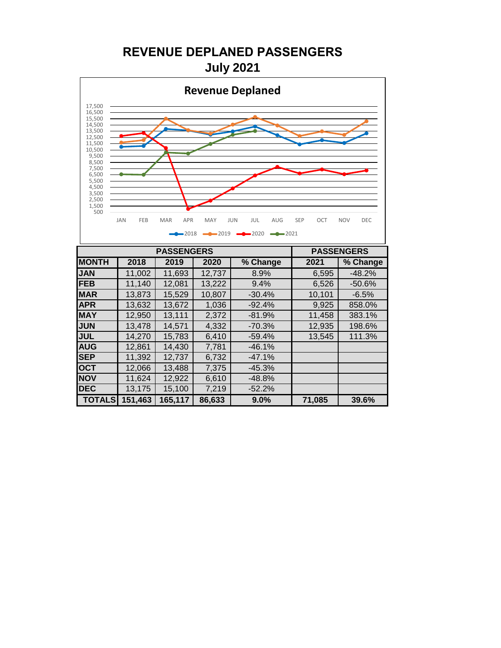**REVENUE DEPLANED PASSENGERS July 2021**



|               | <b>PASSENGERS</b> |         | <b>PASSENGERS</b> |          |        |          |
|---------------|-------------------|---------|-------------------|----------|--------|----------|
| <b>MONTH</b>  | 2018              | 2019    | 2020              | % Change | 2021   | % Change |
| <b>JAN</b>    | 11,002            | 11,693  | 12,737            | 8.9%     | 6,595  | $-48.2%$ |
| <b>IFEB</b>   | 11,140            | 12,081  | 13,222            | 9.4%     | 6,526  | $-50.6%$ |
| <b>MAR</b>    | 13,873            | 15,529  | 10,807            | $-30.4%$ | 10,101 | $-6.5%$  |
| <b>APR</b>    | 13,632            | 13,672  | 1,036             | $-92.4%$ | 9,925  | 858.0%   |
| <b>MAY</b>    | 12,950            | 13,111  | 2,372             | $-81.9%$ | 11,458 | 383.1%   |
| <b>JUN</b>    | 13,478            | 14,571  | 4,332             | $-70.3%$ | 12,935 | 198.6%   |
| <b>JUL</b>    | 14,270            | 15,783  | 6,410             | $-59.4%$ | 13,545 | 111.3%   |
| <b>AUG</b>    | 12,861            | 14,430  | 7,781             | $-46.1%$ |        |          |
| <b>SEP</b>    | 11,392            | 12,737  | 6,732             | $-47.1%$ |        |          |
| <b>OCT</b>    | 12,066            | 13,488  | 7,375             | $-45.3%$ |        |          |
| <b>NOV</b>    | 11,624            | 12,922  | 6,610             | $-48.8%$ |        |          |
| <b>DEC</b>    | 13,175            | 15,100  | 7,219             | $-52.2%$ |        |          |
| <b>TOTALS</b> | 151,463           | 165,117 | 86,633            | 9.0%     | 71,085 | 39.6%    |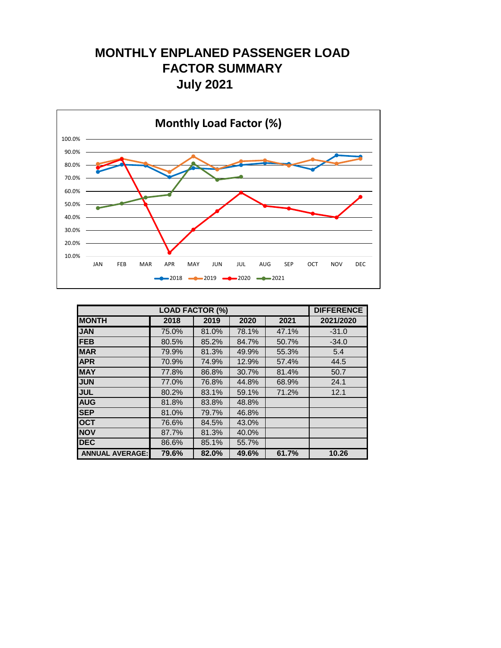### **MONTHLY ENPLANED PASSENGER LOAD FACTOR SUMMARY July 2021**



|                        | <b>LOAD FACTOR (%)</b> |       |       |       | <b>DIFFERENCE</b> |
|------------------------|------------------------|-------|-------|-------|-------------------|
| <b>MONTH</b>           | 2018                   | 2019  | 2020  | 2021  | 2021/2020         |
| <b>JAN</b>             | 75.0%                  | 81.0% | 78.1% | 47.1% | $-31.0$           |
| <b>FEB</b>             | 80.5%                  | 85.2% | 84.7% | 50.7% | $-34.0$           |
| <b>MAR</b>             | 79.9%                  | 81.3% | 49.9% | 55.3% | 5.4               |
| <b>APR</b>             | 70.9%                  | 74.9% | 12.9% | 57.4% | 44.5              |
| <b>MAY</b>             | 77.8%                  | 86.8% | 30.7% | 81.4% | 50.7              |
| <b>JUN</b>             | 77.0%                  | 76.8% | 44.8% | 68.9% | 24.1              |
| <b>JUL</b>             | 80.2%                  | 83.1% | 59.1% | 71.2% | 12.1              |
| <b>AUG</b>             | 81.8%                  | 83.8% | 48.8% |       |                   |
| <b>SEP</b>             | 81.0%                  | 79.7% | 46.8% |       |                   |
| <b>OCT</b>             | 76.6%                  | 84.5% | 43.0% |       |                   |
| <b>NOV</b>             | 87.7%                  | 81.3% | 40.0% |       |                   |
| <b>DEC</b>             | 86.6%                  | 85.1% | 55.7% |       |                   |
| <b>ANNUAL AVERAGE:</b> | 79.6%                  | 82.0% | 49.6% | 61.7% | 10.26             |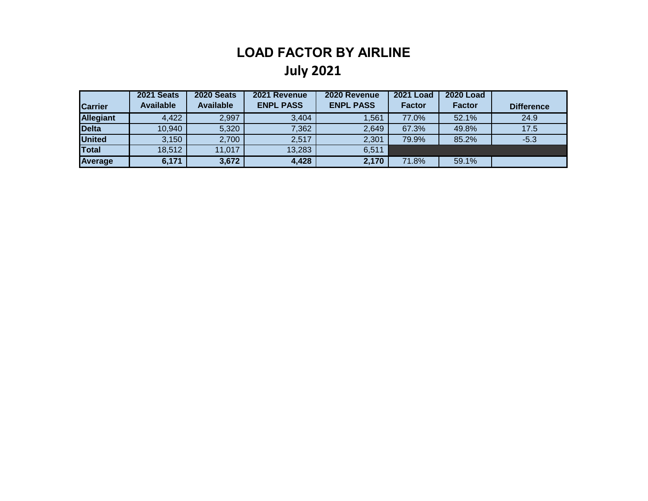## **LOAD FACTOR BY AIRLINE July 2021**

|                  | 2021 Seats       | <b>2020 Seats</b> | 2021 Revenue     | 2020 Revenue     | <b>2021 Load</b> | <b>2020 Load</b> |                   |
|------------------|------------------|-------------------|------------------|------------------|------------------|------------------|-------------------|
| <b>Carrier</b>   | <b>Available</b> | <b>Available</b>  | <b>ENPL PASS</b> | <b>ENPL PASS</b> | <b>Factor</b>    | <b>Factor</b>    | <b>Difference</b> |
| <b>Allegiant</b> | 4,422            | 2,997             | 3,404            | 1,561            | 77.0%            | 52.1%            | 24.9              |
| <b>Delta</b>     | 10,940           | 5,320             | 7,362            | 2,649            | 67.3%            | 49.8%            | 17.5              |
| <b>United</b>    | 3,150            | 2,700             | 2,517            | 2,301            | 79.9%            | 85.2%            | $-5.3$            |
| Total            | 18,512           | 11,017            | 13,283           | 6,511            |                  |                  |                   |
| <b>Average</b>   | 6,171            | 3,672             | 4,428            | 2,170            | 71.8%            | 59.1%            |                   |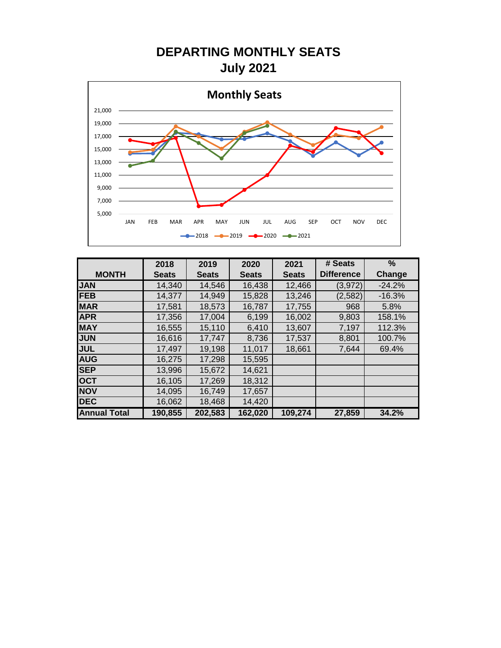## **DEPARTING MONTHLY SEATS July 2021**



|                     | 2018         | 2019         | 2020         | 2021         | # Seats           | $\%$     |
|---------------------|--------------|--------------|--------------|--------------|-------------------|----------|
| <b>MONTH</b>        | <b>Seats</b> | <b>Seats</b> | <b>Seats</b> | <b>Seats</b> | <b>Difference</b> | Change   |
| <b>JAN</b>          | 14,340       | 14,546       | 16,438       | 12,466       | (3, 972)          | $-24.2%$ |
| <b>FEB</b>          | 14,377       | 14,949       | 15,828       | 13,246       | (2, 582)          | $-16.3%$ |
| <b>MAR</b>          | 17,581       | 18,573       | 16,787       | 17,755       | 968               | 5.8%     |
| <b>APR</b>          | 17,356       | 17,004       | 6,199        | 16,002       | 9,803             | 158.1%   |
| <b>MAY</b>          | 16,555       | 15,110       | 6,410        | 13,607       | 7,197             | 112.3%   |
| <b>JUN</b>          | 16,616       | 17,747       | 8,736        | 17,537       | 8,801             | 100.7%   |
| <b>JUL</b>          | 17,497       | 19,198       | 11,017       | 18,661       | 7,644             | 69.4%    |
| <b>AUG</b>          | 16,275       | 17,298       | 15,595       |              |                   |          |
| <b>SEP</b>          | 13,996       | 15,672       | 14,621       |              |                   |          |
| <b>OCT</b>          | 16,105       | 17,269       | 18,312       |              |                   |          |
| <b>NOV</b>          | 14,095       | 16,749       | 17,657       |              |                   |          |
| <b>DEC</b>          | 16,062       | 18,468       | 14,420       |              |                   |          |
| <b>Annual Total</b> | 190,855      | 202,583      | 162,020      | 109,274      | 27,859            | 34.2%    |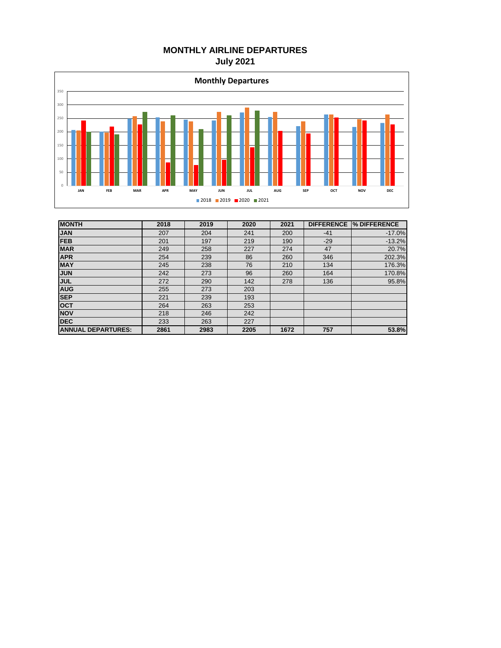#### **MONTHLY AIRLINE DEPARTURES July 2021**



| <b>MONTH</b>              | 2018 | 2019 | 2020 | 2021 | <b>DIFFERENCE</b> | <b>% DIFFERENCE</b> |
|---------------------------|------|------|------|------|-------------------|---------------------|
| <b>JAN</b>                | 207  | 204  | 241  | 200  | $-41$             | $-17.0%$            |
| <b>FEB</b>                | 201  | 197  | 219  | 190  | $-29$             | $-13.2%$            |
| <b>MAR</b>                | 249  | 258  | 227  | 274  | 47                | 20.7%               |
| <b>APR</b>                | 254  | 239  | 86   | 260  | 346               | 202.3%              |
| <b>MAY</b>                | 245  | 238  | 76   | 210  | 134               | 176.3%              |
| <b>JUN</b>                | 242  | 273  | 96   | 260  | 164               | 170.8%              |
| <b>JUL</b>                | 272  | 290  | 142  | 278  | 136               | 95.8%               |
| <b>AUG</b>                | 255  | 273  | 203  |      |                   |                     |
| <b>SEP</b>                | 221  | 239  | 193  |      |                   |                     |
| <b>OCT</b>                | 264  | 263  | 253  |      |                   |                     |
| <b>NOV</b>                | 218  | 246  | 242  |      |                   |                     |
| <b>DEC</b>                | 233  | 263  | 227  |      |                   |                     |
| <b>ANNUAL DEPARTURES:</b> | 2861 | 2983 | 2205 | 1672 | 757               | 53.8%               |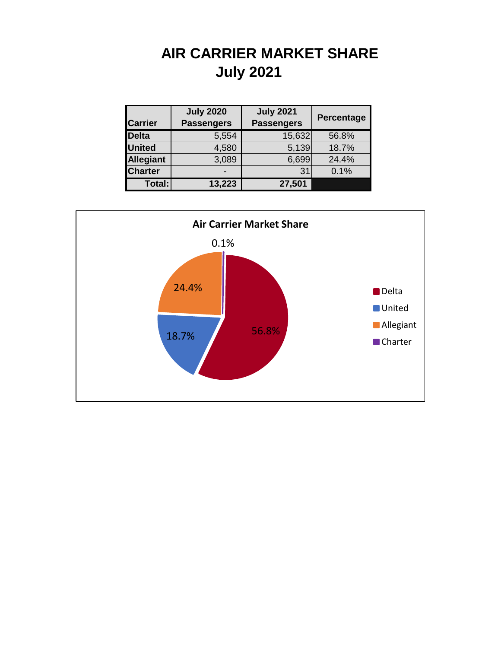## **AIR CARRIER MARKET SHARE July 2021**

|                  | <b>July 2020</b>  | <b>July 2021</b>  |            |
|------------------|-------------------|-------------------|------------|
| <b>Carrier</b>   | <b>Passengers</b> | <b>Passengers</b> | Percentage |
| <b>Delta</b>     | 5,554             | 15,632            | 56.8%      |
| <b>United</b>    | 4,580             | 5,139             | 18.7%      |
| <b>Allegiant</b> | 3,089             | 6,699             | 24.4%      |
| <b>Charter</b>   |                   | 31                | 0.1%       |
| Total:           | 13,223            | 27,501            |            |

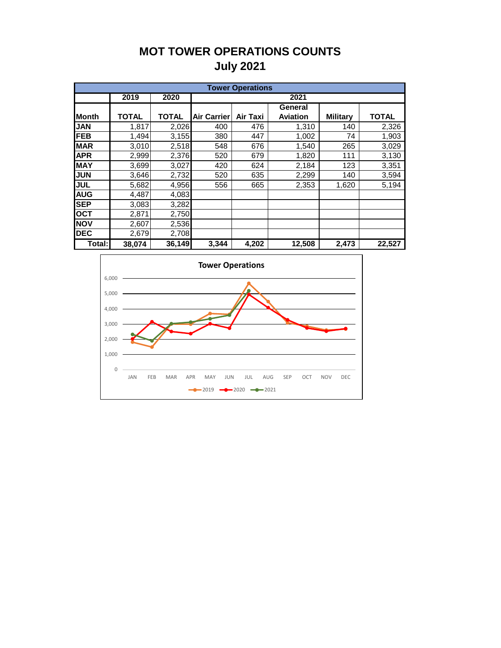### **MOT TOWER OPERATIONS COUNTS July 2021**

|              | <b>Tower Operations</b> |              |                    |                 |                 |                 |              |  |  |  |  |  |  |  |  |
|--------------|-------------------------|--------------|--------------------|-----------------|-----------------|-----------------|--------------|--|--|--|--|--|--|--|--|
|              | 2019                    | 2020         |                    |                 | 2021            |                 |              |  |  |  |  |  |  |  |  |
|              |                         |              |                    |                 | General         |                 |              |  |  |  |  |  |  |  |  |
| <b>Month</b> | <b>TOTAL</b>            | <b>TOTAL</b> | <b>Air Carrier</b> | <b>Air Taxi</b> | <b>Aviation</b> | <b>Military</b> | <b>TOTAL</b> |  |  |  |  |  |  |  |  |
| <b>JAN</b>   | 1,817                   | 2,026        | 400                | 476             | 1,310           | 140             | 2,326        |  |  |  |  |  |  |  |  |
| <b>FEB</b>   | 1,494                   | 3,155        | 380                | 447             | 1,002           | 74              | 1,903        |  |  |  |  |  |  |  |  |
| <b>MAR</b>   | 3,010                   | 2,518        | 548                | 676             | 1,540           | 265             | 3,029        |  |  |  |  |  |  |  |  |
| <b>APR</b>   | 2,999                   | 2,376        | 520                | 679             | 1,820           | 111             | 3,130        |  |  |  |  |  |  |  |  |
| <b>MAY</b>   | 3,699                   | 3,027        | 420                | 624             | 2,184           | 123             | 3,351        |  |  |  |  |  |  |  |  |
| <b>JUN</b>   | 3,646                   | 2,732        | 520                | 635             | 2,299           | 140             | 3,594        |  |  |  |  |  |  |  |  |
| <b>JUL</b>   | 5,682                   | 4,956        | 556                | 665             | 2,353           | 1,620           | 5,194        |  |  |  |  |  |  |  |  |
| <b>AUG</b>   | 4,487                   | 4,083        |                    |                 |                 |                 |              |  |  |  |  |  |  |  |  |
| <b>SEP</b>   | 3,083                   | 3,282        |                    |                 |                 |                 |              |  |  |  |  |  |  |  |  |
| <b>OCT</b>   | 2,871                   | 2,750        |                    |                 |                 |                 |              |  |  |  |  |  |  |  |  |
| <b>NOV</b>   | 2,607                   | 2,536        |                    |                 |                 |                 |              |  |  |  |  |  |  |  |  |
| <b>DEC</b>   | 2,679                   | 2,708        |                    |                 |                 |                 |              |  |  |  |  |  |  |  |  |
| Total:       | 38,074                  | 36,149       | 3,344              | 4,202           | 12,508          | 2,473           | 22,527       |  |  |  |  |  |  |  |  |

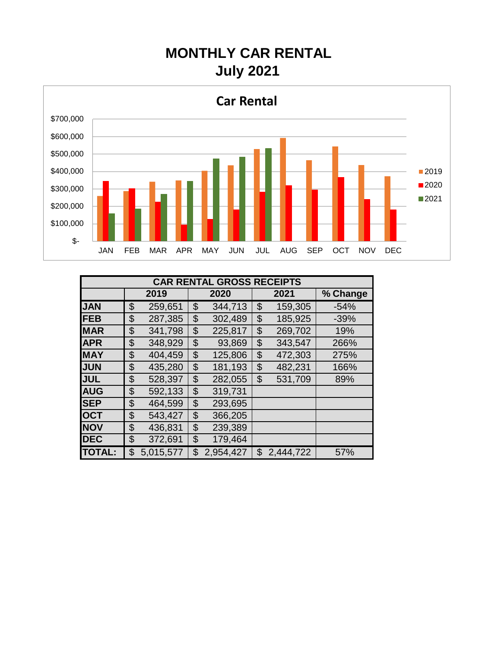# **MONTHLY CAR RENTAL July 2021**



|               | <b>CAR RENTAL GROSS RECEIPTS</b> |           |    |           |    |           |          |  |  |  |  |  |  |  |  |
|---------------|----------------------------------|-----------|----|-----------|----|-----------|----------|--|--|--|--|--|--|--|--|
|               |                                  | 2019      |    | 2020      |    | 2021      | % Change |  |  |  |  |  |  |  |  |
| <b>JAN</b>    | \$                               | 259,651   | \$ | 344,713   | \$ | 159,305   | $-54%$   |  |  |  |  |  |  |  |  |
| <b>FEB</b>    | \$                               | 287,385   | \$ | 302,489   | \$ | 185,925   | $-39%$   |  |  |  |  |  |  |  |  |
| <b>MAR</b>    | \$                               | 341,798   | \$ | 225,817   | \$ | 269,702   | 19%      |  |  |  |  |  |  |  |  |
| <b>APR</b>    | \$                               | 348,929   | \$ | 93,869    | \$ | 343,547   | 266%     |  |  |  |  |  |  |  |  |
| <b>IMAY</b>   | \$                               | 404,459   | \$ | 125,806   | \$ | 472,303   | 275%     |  |  |  |  |  |  |  |  |
| <b>JUN</b>    | \$                               | 435,280   | \$ | 181,193   | \$ | 482,231   | 166%     |  |  |  |  |  |  |  |  |
| <b>JUL</b>    | \$                               | 528,397   | \$ | 282,055   | \$ | 531,709   | 89%      |  |  |  |  |  |  |  |  |
| <b>AUG</b>    | \$                               | 592,133   | \$ | 319,731   |    |           |          |  |  |  |  |  |  |  |  |
| <b>SEP</b>    | \$                               | 464,599   | \$ | 293,695   |    |           |          |  |  |  |  |  |  |  |  |
| <b>OCT</b>    | \$                               | 543,427   | \$ | 366,205   |    |           |          |  |  |  |  |  |  |  |  |
| <b>NOV</b>    | \$                               | 436,831   | \$ | 239,389   |    |           |          |  |  |  |  |  |  |  |  |
| <b>DEC</b>    | \$                               | 372,691   | \$ | 179,464   |    |           |          |  |  |  |  |  |  |  |  |
| <b>TOTAL:</b> | \$                               | 5,015,577 | \$ | 2,954,427 | \$ | 2,444,722 | 57%      |  |  |  |  |  |  |  |  |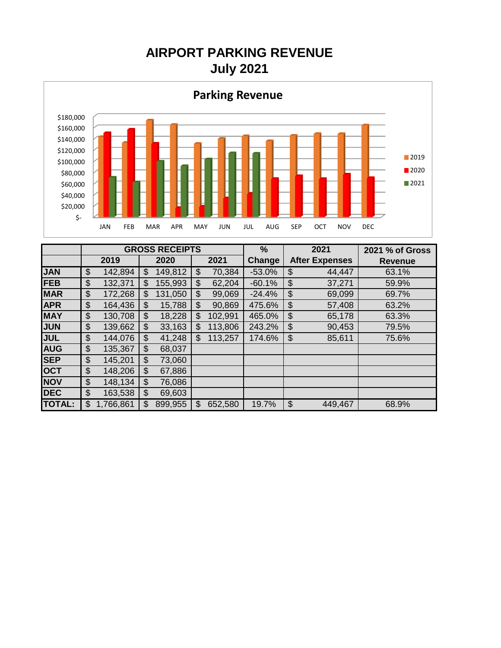**July 2021 AIRPORT PARKING REVENUE**



|               |               |           | <b>GROSS RECEIPTS</b> |              |         | $\frac{0}{0}$ |                | 2021                  | 2021 % of Gross |
|---------------|---------------|-----------|-----------------------|--------------|---------|---------------|----------------|-----------------------|-----------------|
|               |               | 2019      | 2020                  |              | 2021    | Change        |                | <b>After Expenses</b> | <b>Revenue</b>  |
| <b>JAN</b>    | \$<br>142,894 |           | \$<br>149,812         | 70,384<br>\$ |         | $-53.0%$      | \$             | 44,447                | 63.1%           |
| <b>FEB</b>    | \$<br>132,371 |           | \$<br>155,993         | \$           | 62,204  | $-60.1%$      | \$             | 37,271                | 59.9%           |
| <b>MAR</b>    | \$<br>172,268 |           | \$<br>131,050         | \$           | 99,069  | $-24.4%$      | \$             | 69,099                | 69.7%           |
| <b>APR</b>    | \$            | 164,436   | \$<br>15,788          | \$           | 90,869  | 475.6%        | \$             | 57,408                | 63.2%           |
| <b>MAY</b>    | \$<br>130,708 |           | \$<br>18,228          | \$           | 102,991 | 465.0%        | $\mathfrak{S}$ | 65,178                | 63.3%           |
| <b>JUN</b>    | \$            | 139,662   | \$<br>33,163          | \$           | 113,806 | 243.2%        | \$             | 90,453                | 79.5%           |
| <b>JUL</b>    | \$            | 144,076   | \$<br>41,248          | \$           | 113,257 | 174.6%        | \$             | 85,611                | 75.6%           |
| <b>AUG</b>    | \$            | 135,367   | \$<br>68,037          |              |         |               |                |                       |                 |
| <b>SEP</b>    | \$            | 145,201   | \$<br>73,060          |              |         |               |                |                       |                 |
| <b>OCT</b>    | \$            | 148,206   | \$<br>67,886          |              |         |               |                |                       |                 |
| <b>NOV</b>    | \$            | 148,134   | \$<br>76,086          |              |         |               |                |                       |                 |
| <b>DEC</b>    | \$            | 163,538   | \$<br>69,603          |              |         |               |                |                       |                 |
| <b>TOTAL:</b> | \$            | 1,766,861 | \$<br>899,955         | \$           | 652,580 | 19.7%         | \$             | 449,467               | 68.9%           |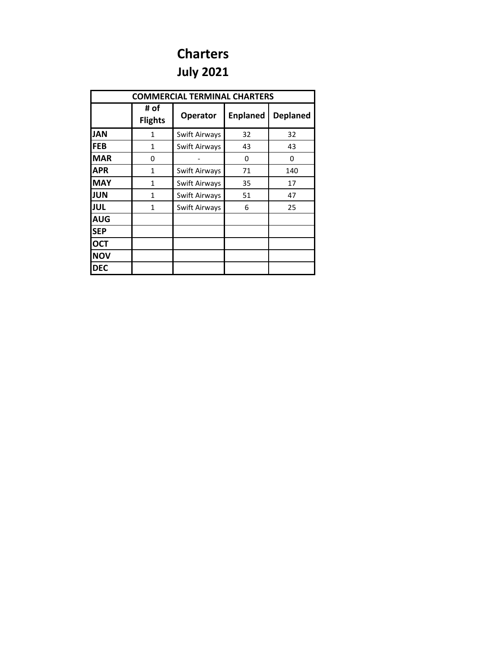## **Charters July 2021**

|            | <b>COMMERCIAL TERMINAL CHARTERS</b> |               |                 |                 |  |  |  |  |  |  |  |  |  |  |
|------------|-------------------------------------|---------------|-----------------|-----------------|--|--|--|--|--|--|--|--|--|--|
|            | # of<br><b>Flights</b>              | Operator      | <b>Enplaned</b> | <b>Deplaned</b> |  |  |  |  |  |  |  |  |  |  |
| <b>JAN</b> | 1                                   | Swift Airways | 32              | 32              |  |  |  |  |  |  |  |  |  |  |
| <b>FEB</b> | $\mathbf{1}$                        | Swift Airways | 43              | 43              |  |  |  |  |  |  |  |  |  |  |
| <b>MAR</b> | 0                                   |               | 0               | 0               |  |  |  |  |  |  |  |  |  |  |
| <b>APR</b> | 1                                   | Swift Airways | 71              | 140             |  |  |  |  |  |  |  |  |  |  |
| <b>MAY</b> | $\mathbf{1}$                        | Swift Airways | 35              | 17              |  |  |  |  |  |  |  |  |  |  |
| JUN        | 1                                   | Swift Airways | 51              | 47              |  |  |  |  |  |  |  |  |  |  |
| <b>JUL</b> | 1                                   | Swift Airways | 6               | 25              |  |  |  |  |  |  |  |  |  |  |
| <b>AUG</b> |                                     |               |                 |                 |  |  |  |  |  |  |  |  |  |  |
| <b>SEP</b> |                                     |               |                 |                 |  |  |  |  |  |  |  |  |  |  |
| <b>OCT</b> |                                     |               |                 |                 |  |  |  |  |  |  |  |  |  |  |
| <b>NOV</b> |                                     |               |                 |                 |  |  |  |  |  |  |  |  |  |  |
| <b>DEC</b> |                                     |               |                 |                 |  |  |  |  |  |  |  |  |  |  |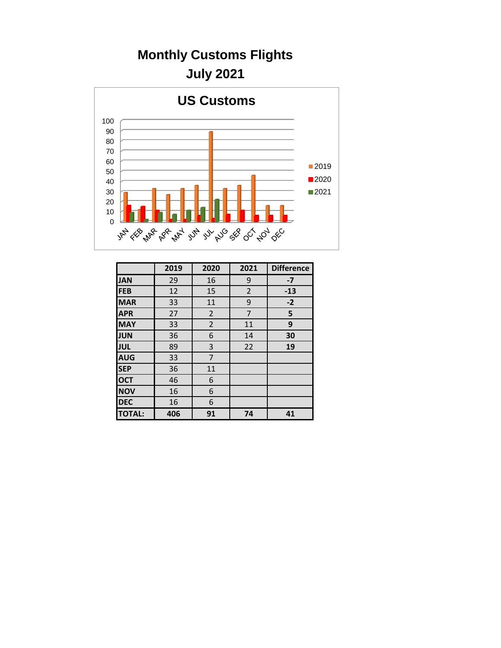## **Monthly Customs Flights July 2021**



|               | 2019 | 2020           | 2021           | <b>Difference</b> |
|---------------|------|----------------|----------------|-------------------|
| <b>JAN</b>    | 29   | 16             | 9              | $-7$              |
| <b>FEB</b>    | 12   | 15             | $\overline{2}$ | $-13$             |
| <b>MAR</b>    | 33   | 11             | 9              | $-2$              |
| <b>APR</b>    | 27   | $\overline{2}$ | 7              | 5                 |
| <b>MAY</b>    | 33   | $\overline{2}$ | 11             | 9                 |
| <b>JUN</b>    | 36   | 6              | 14             | 30                |
| <b>JUL</b>    | 89   | 3              | 22             | 19                |
| <b>AUG</b>    | 33   | 7              |                |                   |
| <b>SEP</b>    | 36   | 11             |                |                   |
| <b>OCT</b>    | 46   | 6              |                |                   |
| <b>NOV</b>    | 16   | 6              |                |                   |
| <b>DEC</b>    | 16   | 6              |                |                   |
| <b>TOTAL:</b> | 406  | 91             | 74             | 41                |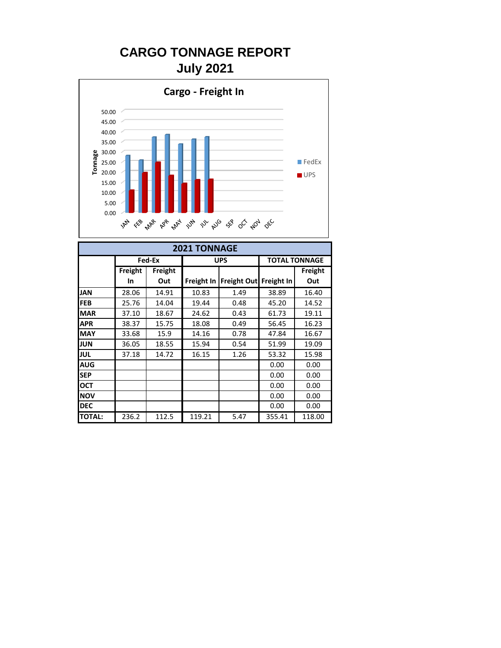## **CARGO TONNAGE REPORT July 2021**



|               | <b>2021 TONNAGE</b> |         |        |                          |                      |         |  |  |  |  |  |  |  |  |  |
|---------------|---------------------|---------|--------|--------------------------|----------------------|---------|--|--|--|--|--|--|--|--|--|
|               |                     | Fed-Ex  |        | <b>UPS</b>               | <b>TOTAL TONNAGE</b> |         |  |  |  |  |  |  |  |  |  |
|               | Freight             | Freight |        |                          |                      | Freight |  |  |  |  |  |  |  |  |  |
|               | In.                 | Out     |        | Freight In   Freight Out | Freight In           | Out     |  |  |  |  |  |  |  |  |  |
| <b>JAN</b>    | 28.06               | 14.91   | 10.83  | 1.49                     | 38.89                | 16.40   |  |  |  |  |  |  |  |  |  |
| <b>FEB</b>    | 25.76               | 14.04   | 19.44  | 0.48                     | 45.20                | 14.52   |  |  |  |  |  |  |  |  |  |
| <b>MAR</b>    | 37.10               | 18.67   | 24.62  | 0.43                     | 61.73                | 19.11   |  |  |  |  |  |  |  |  |  |
| <b>APR</b>    | 38.37               | 15.75   | 18.08  | 0.49                     | 56.45                | 16.23   |  |  |  |  |  |  |  |  |  |
| <b>MAY</b>    | 33.68               | 15.9    | 14.16  | 0.78                     | 47.84                | 16.67   |  |  |  |  |  |  |  |  |  |
| <b>JUN</b>    | 36.05               | 18.55   | 15.94  | 0.54                     | 51.99                | 19.09   |  |  |  |  |  |  |  |  |  |
| <b>JUL</b>    | 37.18               | 14.72   | 16.15  | 1.26                     | 53.32                | 15.98   |  |  |  |  |  |  |  |  |  |
| <b>AUG</b>    |                     |         |        |                          | 0.00                 | 0.00    |  |  |  |  |  |  |  |  |  |
| <b>SEP</b>    |                     |         |        |                          | 0.00                 | 0.00    |  |  |  |  |  |  |  |  |  |
| <b>OCT</b>    |                     |         |        |                          | 0.00                 | 0.00    |  |  |  |  |  |  |  |  |  |
| <b>NOV</b>    |                     |         |        |                          | 0.00                 | 0.00    |  |  |  |  |  |  |  |  |  |
| <b>DEC</b>    |                     |         |        |                          | 0.00                 | 0.00    |  |  |  |  |  |  |  |  |  |
| <b>TOTAL:</b> | 236.2               | 112.5   | 119.21 | 5.47                     | 355.41               | 118.00  |  |  |  |  |  |  |  |  |  |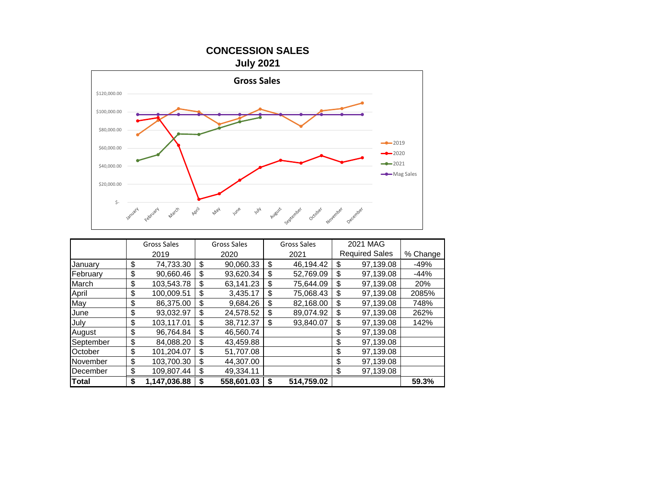

|              | <b>Gross Sales</b> |              |    | <b>Gross Sales</b> | <b>Gross Sales</b> | 2021 MAG              |          |
|--------------|--------------------|--------------|----|--------------------|--------------------|-----------------------|----------|
|              |                    | 2019         |    | 2020               | 2021               | <b>Required Sales</b> | % Change |
| Januarv      | \$                 | 74,733.30    | \$ | 90,060.33          | \$<br>46,194.42    | \$<br>97,139.08       | $-49%$   |
| February     | \$                 | 90,660.46    | \$ | 93,620.34          | \$<br>52,769.09    | \$<br>97,139.08       | $-44%$   |
| March        | \$                 | 103,543.78   | \$ | 63,141.23          | \$<br>75,644.09    | \$<br>97,139.08       | 20%      |
| April        | \$                 | 100,009.51   | \$ | 3,435.17           | \$<br>75,068.43    | \$<br>97,139.08       | 2085%    |
| May          | \$                 | 86,375.00    | \$ | 9.684.26           | \$<br>82,168.00    | \$<br>97.139.08       | 748%     |
| June         | \$                 | 93,032.97    | \$ | 24.578.52          | \$<br>89.074.92    | \$<br>97,139.08       | 262%     |
| July         | \$                 | 103,117.01   | \$ | 38,712.37          | \$<br>93.840.07    | \$<br>97,139.08       | 142%     |
| August       | \$                 | 96,764.84    | \$ | 46,560.74          |                    | \$<br>97,139.08       |          |
| September    | \$                 | 84.088.20    | \$ | 43,459.88          |                    | \$<br>97,139.08       |          |
| October      | \$                 | 101,204.07   | \$ | 51,707.08          |                    | \$<br>97,139.08       |          |
| November     | \$                 | 103,700.30   | \$ | 44.307.00          |                    | \$<br>97,139.08       |          |
| December     | \$                 | 109,807.44   | \$ | 49,334.11          |                    | \$<br>97,139.08       |          |
| <b>Total</b> | \$                 | 1,147,036.88 | \$ | 558,601.03         | \$<br>514,759.02   |                       | 59.3%    |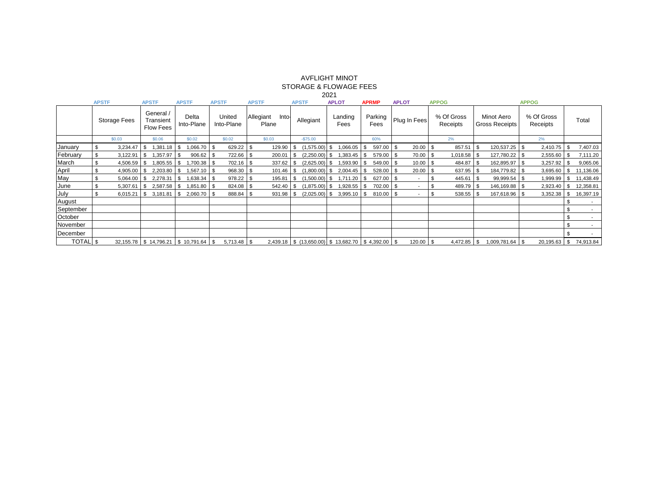|                 |              |                          |                                            |          |                     |             |                      |               |                             |              |           |                                                               | ZUZT            |              |      |                 |    |               |      |                        |                                     |                 |                        |           |     |                          |
|-----------------|--------------|--------------------------|--------------------------------------------|----------|---------------------|-------------|----------------------|---------------|-----------------------------|--------------|-----------|---------------------------------------------------------------|-----------------|--------------|------|-----------------|----|---------------|------|------------------------|-------------------------------------|-----------------|------------------------|-----------|-----|--------------------------|
|                 | <b>APSTF</b> |                          | <b>APSTF</b>                               |          | <b>APSTF</b>        |             |                      | <b>APSTF</b>  |                             | <b>APSTF</b> |           | <b>APSTF</b>                                                  |                 | <b>APLOT</b> |      | <b>APRMP</b>    |    | <b>APLOT</b>  |      | <b>APPOG</b>           |                                     |                 | <b>APPOG</b>           |           |     |                          |
|                 |              | <b>Storage Fees</b>      | General /<br>Transient<br><b>Flow Fees</b> |          | Delta<br>Into-Plane |             | United<br>Into-Plane |               | Allegiant<br>Into-<br>Plane |              | Allegiant |                                                               | Landing<br>Fees |              |      | Parking<br>Fees |    | Plug In Fees  |      | % Of Gross<br>Receipts | Minot Aero<br><b>Gross Receipts</b> |                 | % Of Gross<br>Receipts |           |     | Total                    |
|                 | \$0.03       |                          |                                            | \$0.06   | \$0.02              |             | \$0.02               | \$0.03        |                             | $-$75.00$    |           |                                                               |                 |              | 60%  |                 | 2% |               |      |                        |                                     | 2%              |                        |           |     |                          |
| January         | - \$         | 3,234.47                 |                                            | ,381.18  | -S                  | ,066.70     | - \$                 | 629.22        | - \$                        | 129.90       | - \$      | $(1,575.00)$ \$                                               |                 | 1,066.05     | - \$ | $597.00$ \$     |    | 20.00         | l \$ | 857.51                 |                                     | 120,537.25 \$   |                        | 2,410.75  | \$  | 7,407.03                 |
| February        | \$           | 3,122.91                 | l S                                        | ,357.97  | l S                 | 906.62      | - \$                 | 722.66        | l \$                        | 200.01       | - \$      | $(2,250.00)$ \$                                               |                 | 1,383.45     | - IS | $579.00$ \$     |    | $70.00$ \$    |      | $1,018.58$ \$          |                                     | 127,780.22 \$   |                        | 2,555.60  |     | 7,111.20                 |
| March           | S.           | 4,506.59                 |                                            | .805.55  | \$                  | ,700.38     | - 35                 | 702.16        | l \$                        | 337.62       |           | $(2,625.00)$ \$                                               |                 | 1,593.90     |      | $549.00$ \$     |    | $10.00$ \ \$  |      | 484.87                 |                                     | 162,895.97 \$   |                        | 3,257.92  |     | 9,065.06                 |
| April           |              | 4,905.00                 |                                            | 2,203.80 | - \$                | ,567.10     | - \$                 | 968.30 \$     |                             | 101.46       | - \$      | $(1,800.00)$ \$                                               |                 | 2,004.45     |      | 528.00 \$       |    | $20.00$ \$    |      | 637.95                 |                                     | 184,779.82   \$ |                        | 3,695.60  |     | 11,136.06                |
| May             | £.           | 5,064.00                 |                                            | 2,278.31 | -S                  | .638.34     | - \$                 | 978.22        | - \$                        | 195.81       |           | $(1,500.00)$ \$                                               |                 | 1,711.20     | - \$ | $627.00$ \$     |    |               |      | 445.61                 |                                     | 99,999.54 \$    |                        | 1,999.99  |     | 1,438.49                 |
| June            |              | 5,307.61                 |                                            | 2,587.58 | - \$                | ,851.80     | - \$                 | 824.08        | l \$                        | 542.40       | ∣\$       | $(1,875.00)$ \$                                               |                 | 1,928.55     | IS   | $702.00$ \$     |    |               |      | 489.79                 |                                     | 146,169.88 \$   |                        | 2,923.40  |     | 12,358.81                |
| <b>July</b>     | £.           | 6,015.21                 |                                            | 3,181.81 | - \$                | 2,060.70    | -9                   | 888.84        | - \$                        | 931.98       |           | $(2,025.00)$ \$                                               |                 | 3,995.10     |      | $810.00$ \$     |    |               |      | 538.55                 |                                     | 167,618.96 \$   |                        | 3,352.38  |     | 16,397.19                |
| August          |              |                          |                                            |          |                     |             |                      |               |                             |              |           |                                                               |                 |              |      |                 |    |               |      |                        |                                     |                 |                        |           | \$. | $\overline{\phantom{0}}$ |
| September       |              |                          |                                            |          |                     |             |                      |               |                             |              |           |                                                               |                 |              |      |                 |    |               |      |                        |                                     |                 |                        |           |     | $\sim$                   |
| October         |              |                          |                                            |          |                     |             |                      |               |                             |              |           |                                                               |                 |              |      |                 |    |               |      |                        |                                     |                 |                        |           | \$  | $\overline{\phantom{0}}$ |
| November        |              |                          |                                            |          |                     |             |                      |               |                             |              |           |                                                               |                 |              |      |                 |    |               |      |                        |                                     |                 |                        |           | \$  | $\overline{\phantom{0}}$ |
| December        |              |                          |                                            |          |                     |             |                      |               |                             |              |           |                                                               |                 |              |      |                 |    |               |      |                        |                                     |                 |                        |           |     | $\sim$                   |
| <b>TOTAL</b> \$ |              | 32,155.78   \$ 14,796.21 |                                            |          |                     | \$10,791.64 | \$                   | $5,713.48$ \$ |                             |              |           | $2,439.18$ \ \$ (13,650.00) \ \$ 13,682.70 \ \$ 4,392.00 \ \$ |                 |              |      |                 |    | $120.00$ \ \$ |      | 4,472.85               | l \$                                |                 |                        | 20,195.63 | \$  | 74,913.84                |

#### AVFLIGHT MINOT STORAGE & FLOWAGE FEES 2021